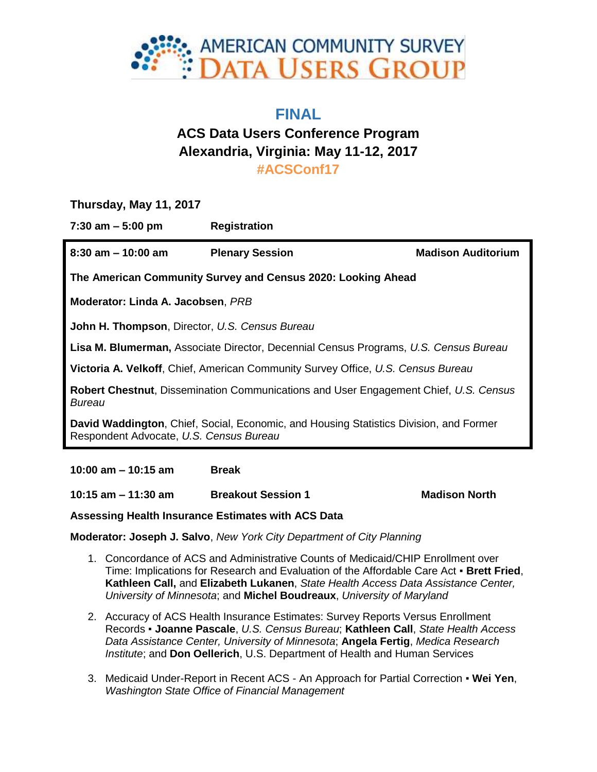

## **FINAL**

# **ACS Data Users Conference Program Alexandria, Virginia: May 11-12, 2017 #ACSConf17**

**Thursday, May 11, 2017**

**7:30 am – 5:00 pm Registration**

**8:30 am – 10:00 am Plenary Session Madison Auditorium The American Community Survey and Census 2020: Looking Ahead Moderator: Linda A. Jacobsen**, *PRB* **John H. Thompson**, Director, *U.S. Census Bureau* **Lisa M. Blumerman,** Associate Director, Decennial Census Programs, *U.S. Census Bureau* **Victoria A. Velkoff**, Chief, American Community Survey Office, *U.S. Census Bureau* **Robert Chestnut**, Dissemination Communications and User Engagement Chief, *U.S. Census Bureau* **David Waddington**, Chief, Social, Economic, and Housing Statistics Division, and Former Respondent Advocate, *U.S. Census Bureau*

**10:00 am – 10:15 am Break**

**10:15 am – 11:30 am Breakout Session 1 Madison North**

**Assessing Health Insurance Estimates with ACS Data**

**Moderator: Joseph J. Salvo**, *New York City Department of City Planning*

- 1. Concordance of ACS and Administrative Counts of Medicaid/CHIP Enrollment over Time: Implications for Research and Evaluation of the Affordable Care Act ▪ **Brett Fried**, **Kathleen Call,** and **Elizabeth Lukanen**, *State Health Access Data Assistance Center, University of Minnesota*; and **Michel Boudreaux**, *University of Maryland*
- 2. Accuracy of ACS Health Insurance Estimates: Survey Reports Versus Enrollment Records ▪ **Joanne Pascale**, *U.S. Census Bureau*; **Kathleen Call**, *State Health Access Data Assistance Center, University of Minnesota*; **Angela Fertig**, *Medica Research Institute*; and **Don Oellerich**, U.S. Department of Health and Human Services
- 3. Medicaid Under-Report in Recent ACS An Approach for Partial Correction **Wei Yen**, *Washington State Office of Financial Management*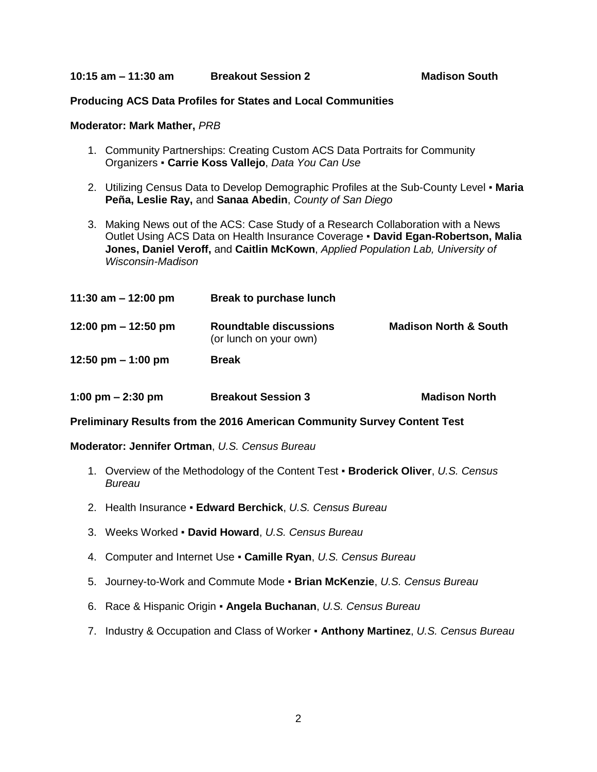### **Producing ACS Data Profiles for States and Local Communities**

#### **Moderator: Mark Mather,** *PRB*

- 1. Community Partnerships: Creating Custom ACS Data Portraits for Community Organizers ▪ **Carrie Koss Vallejo**, *Data You Can Use*
- 2. Utilizing Census Data to Develop Demographic Profiles at the Sub-County Level **Maria Peña, Leslie Ray,** and **Sanaa Abedin**, *County of San Diego*
- 3. Making News out of the ACS: Case Study of a Research Collaboration with a News Outlet Using ACS Data on Health Insurance Coverage ▪ **David Egan-Robertson, Malia Jones, Daniel Veroff,** and **Caitlin McKown**, *Applied Population Lab, University of Wisconsin-Madison*

| 11:30 am $-$ 12:00 pm | Break to purchase lunch                                 |                                  |
|-----------------------|---------------------------------------------------------|----------------------------------|
| 12:00 pm $-$ 12:50 pm | <b>Roundtable discussions</b><br>(or lunch on your own) | <b>Madison North &amp; South</b> |
| 12:50 pm $-$ 1:00 pm  | <b>Break</b>                                            |                                  |

| 1:00 pm $-$ 2:30 pm<br><b>Breakout Session 3</b> | <b>Madison North</b> |
|--------------------------------------------------|----------------------|
|--------------------------------------------------|----------------------|

**Preliminary Results from the 2016 American Community Survey Content Test**

**Moderator: Jennifer Ortman**, *U.S. Census Bureau*

- 1. Overview of the Methodology of the Content Test **Broderick Oliver**, *U.S. Census Bureau*
- 2. Health Insurance **Edward Berchick**, *U.S. Census Bureau*
- 3. Weeks Worked **David Howard**, *U.S. Census Bureau*
- 4. Computer and Internet Use **Camille Ryan**, *U.S. Census Bureau*
- 5. Journey-to-Work and Commute Mode **Brian McKenzie**, *U.S. Census Bureau*
- 6. Race & Hispanic Origin **Angela Buchanan**, *U.S. Census Bureau*
- 7. Industry & Occupation and Class of Worker **Anthony Martinez**, *U.S. Census Bureau*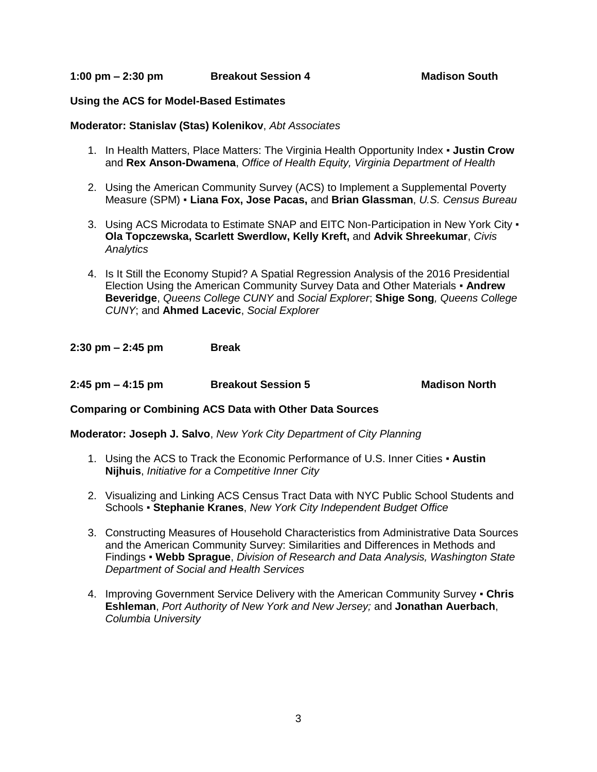**1:00 pm – 2:30 pm Breakout Session 4 Madison South**

## **Using the ACS for Model-Based Estimates**

## **Moderator: Stanislav (Stas) Kolenikov**, *Abt Associates*

- 1. In Health Matters, Place Matters: The Virginia Health Opportunity Index **Justin Crow**  and **Rex Anson-Dwamena**, *Office of Health Equity, Virginia Department of Health*
- 2. Using the American Community Survey (ACS) to Implement a Supplemental Poverty Measure (SPM) ▪ **Liana Fox, Jose Pacas,** and **Brian Glassman**, *U.S. Census Bureau*
- 3. Using ACS Microdata to Estimate SNAP and EITC Non-Participation in New York City . **Ola Topczewska, Scarlett Swerdlow, Kelly Kreft,** and **Advik Shreekumar**, *Civis Analytics*
- 4. Is It Still the Economy Stupid? A Spatial Regression Analysis of the 2016 Presidential Election Using the American Community Survey Data and Other Materials ▪ **Andrew Beveridge**, *Queens College CUNY* and *Social Explorer*; **Shige Song***, Queens College CUNY*; and **Ahmed Lacevic**, *Social Explorer*

**2:30 pm – 2:45 pm Break**

**2:45 pm – 4:15 pm Breakout Session 5 Madison North**

## **Comparing or Combining ACS Data with Other Data Sources**

**Moderator: Joseph J. Salvo**, *New York City Department of City Planning*

- 1. Using the ACS to Track the Economic Performance of U.S. Inner Cities **Austin Nijhuis**, *Initiative for a Competitive Inner City*
- 2. Visualizing and Linking ACS Census Tract Data with NYC Public School Students and Schools ▪ **Stephanie Kranes**, *New York City Independent Budget Office*
- 3. Constructing Measures of Household Characteristics from Administrative Data Sources and the American Community Survey: Similarities and Differences in Methods and Findings ▪ **Webb Sprague**, *Division of Research and Data Analysis, Washington State Department of Social and Health Services*
- 4. Improving Government Service Delivery with the American Community Survey **Chris Eshleman**, *Port Authority of New York and New Jersey;* and **Jonathan Auerbach**, *Columbia University*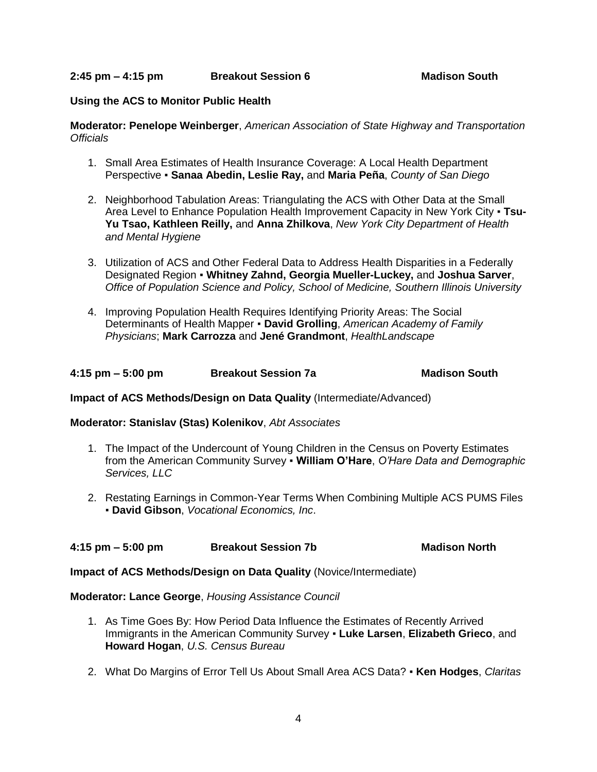**2:45 pm – 4:15 pm Breakout Session 6 Madison South**

## **Using the ACS to Monitor Public Health**

### **Moderator: Penelope Weinberger**, *American Association of State Highway and Transportation Officials*

- 1. Small Area Estimates of Health Insurance Coverage: A Local Health Department Perspective ▪ **Sanaa Abedin, Leslie Ray,** and **Maria Peña**, *County of San Diego*
- 2. Neighborhood Tabulation Areas: Triangulating the ACS with Other Data at the Small Area Level to Enhance Population Health Improvement Capacity in New York City **· Tsu-Yu Tsao, Kathleen Reilly,** and **Anna Zhilkova**, *New York City Department of Health and Mental Hygiene*
- 3. Utilization of ACS and Other Federal Data to Address Health Disparities in a Federally Designated Region ▪ **Whitney Zahnd, Georgia Mueller-Luckey,** and **Joshua Sarver**, *Office of Population Science and Policy, School of Medicine, Southern Illinois University*
- 4. Improving Population Health Requires Identifying Priority Areas: The Social Determinants of Health Mapper ▪ **David Grolling**, *American Academy of Family Physicians*; **Mark Carrozza** and **Jené Grandmont**, *HealthLandscape*

|  | 4:15 pm $-$ 5:00 pm | <b>Breakout Session 7a</b> | <b>Madison South</b> |
|--|---------------------|----------------------------|----------------------|
|--|---------------------|----------------------------|----------------------|

## **Impact of ACS Methods/Design on Data Quality** (Intermediate/Advanced)

**Moderator: Stanislav (Stas) Kolenikov**, *Abt Associates*

- 1. The Impact of the Undercount of Young Children in the Census on Poverty Estimates from the American Community Survey ▪ **William O'Hare**, *O'Hare Data and Demographic Services, LLC*
- 2. Restating Earnings in Common-Year Terms When Combining Multiple ACS PUMS Files ▪ **David Gibson**, *Vocational Economics, Inc*.

## **4:15 pm – 5:00 pm Breakout Session 7b Madison North**

**Impact of ACS Methods/Design on Data Quality** (Novice/Intermediate)

## **Moderator: Lance George**, *Housing Assistance Council*

- 1. As Time Goes By: How Period Data Influence the Estimates of Recently Arrived Immigrants in the American Community Survey ▪ **Luke Larsen**, **Elizabeth Grieco**, and **Howard Hogan**, *U.S. Census Bureau*
- 2. What Do Margins of Error Tell Us About Small Area ACS Data? **Ken Hodges**, *Claritas*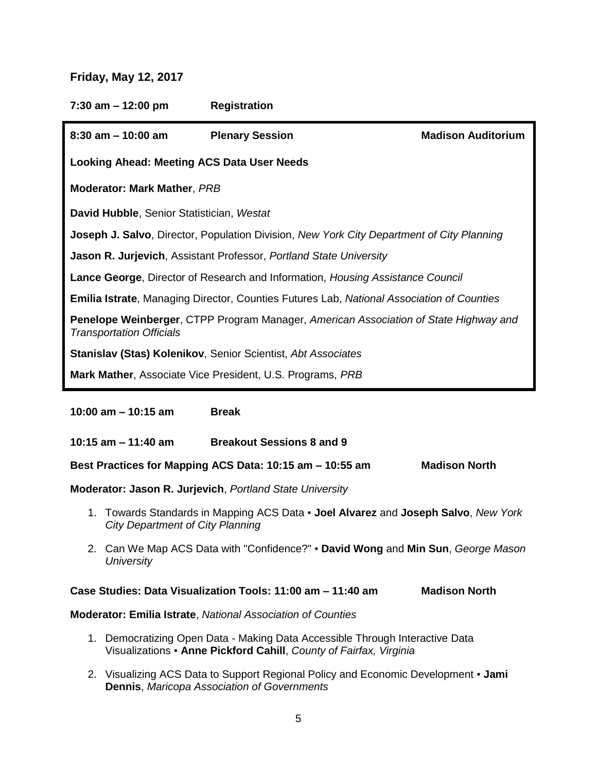## **Friday, May 12, 2017**

**7:30 am – 12:00 pm Registration**

| 8:30 am – 10:00 am                                                                                                             | <b>Plenary Session</b> | <b>Madison Auditorium</b> |  |  |
|--------------------------------------------------------------------------------------------------------------------------------|------------------------|---------------------------|--|--|
| <b>Looking Ahead: Meeting ACS Data User Needs</b>                                                                              |                        |                           |  |  |
| <b>Moderator: Mark Mather, PRB</b>                                                                                             |                        |                           |  |  |
| David Hubble, Senior Statistician, Westat                                                                                      |                        |                           |  |  |
| <b>Joseph J. Salvo</b> , Director, Population Division, New York City Department of City Planning                              |                        |                           |  |  |
| <b>Jason R. Jurjevich, Assistant Professor, Portland State University</b>                                                      |                        |                           |  |  |
| Lance George, Director of Research and Information, Housing Assistance Council                                                 |                        |                           |  |  |
| <b>Emilia Istrate, Managing Director, Counties Futures Lab, National Association of Counties</b>                               |                        |                           |  |  |
| <b>Penelope Weinberger, CTPP Program Manager, American Association of State Highway and</b><br><b>Transportation Officials</b> |                        |                           |  |  |
| Stanislav (Stas) Kolenikov, Senior Scientist, Abt Associates                                                                   |                        |                           |  |  |
| Mark Mather, Associate Vice President, U.S. Programs, PRB                                                                      |                        |                           |  |  |

**10:00 am – 10:15 am Break**

**10:15 am – 11:40 am Breakout Sessions 8 and 9**

**Best Practices for Mapping ACS Data: 10:15 am – 10:55 am Madison North**

**Moderator: Jason R. Jurjevich**, *Portland State University*

- 1. Towards Standards in Mapping ACS Data **Joel Alvarez** and **Joseph Salvo**, *New York City Department of City Planning*
- 2. Can We Map ACS Data with "Confidence?" **David Wong** and **Min Sun**, *George Mason University*

## **Case Studies: Data Visualization Tools: 11:00 am – 11:40 am Madison North**

## **Moderator: Emilia Istrate**, *National Association of Counties*

- 1. Democratizing Open Data Making Data Accessible Through Interactive Data Visualizations ▪ **Anne Pickford Cahill**, *County of Fairfax, Virginia*
- 2. Visualizing ACS Data to Support Regional Policy and Economic Development **Jami Dennis**, *Maricopa Association of Governments*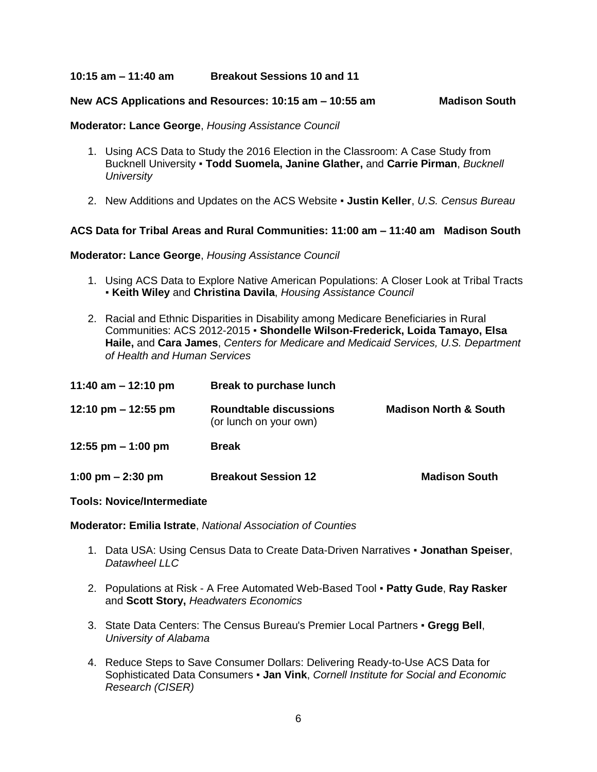**10:15 am – 11:40 am Breakout Sessions 10 and 11**

## **New ACS Applications and Resources: 10:15 am – 10:55 am Madison South**

**Moderator: Lance George**, *Housing Assistance Council*

- 1. Using ACS Data to Study the 2016 Election in the Classroom: A Case Study from Bucknell University ▪ **Todd Suomela, Janine Glather,** and **Carrie Pirman**, *Bucknell University*
- 2. New Additions and Updates on the ACS Website **Justin Keller**, *U.S. Census Bureau*

## **ACS Data for Tribal Areas and Rural Communities: 11:00 am – 11:40 am Madison South**

## **Moderator: Lance George**, *Housing Assistance Council*

- 1. Using ACS Data to Explore Native American Populations: A Closer Look at Tribal Tracts ▪ **Keith Wiley** and **Christina Davila**, *Housing Assistance Council*
- 2. Racial and Ethnic Disparities in Disability among Medicare Beneficiaries in Rural Communities: ACS 2012-2015 ▪ **Shondelle Wilson-Frederick, Loida Tamayo, Elsa Haile,** and **Cara James**, *Centers for Medicare and Medicaid Services, U.S. Department of Health and Human Services*

| 11:40 am $-$ 12:10 pm | <b>Break to purchase lunch</b>                          |                                  |
|-----------------------|---------------------------------------------------------|----------------------------------|
| 12:10 pm $-$ 12:55 pm | <b>Roundtable discussions</b><br>(or lunch on your own) | <b>Madison North &amp; South</b> |
| 12:55 pm $-1:00$ pm   | <b>Break</b>                                            |                                  |
| 1:00 pm $-$ 2:30 pm   | <b>Breakout Session 12</b>                              | <b>Madison South</b>             |

## **Tools: Novice/Intermediate**

**Moderator: Emilia Istrate**, *National Association of Counties*

- 1. Data USA: Using Census Data to Create Data-Driven Narratives **Jonathan Speiser**, *Datawheel LLC*
- 2. Populations at Risk A Free Automated Web-Based Tool **Patty Gude**, **Ray Rasker**  and **Scott Story,** *Headwaters Economics*
- 3. State Data Centers: The Census Bureau's Premier Local Partners **Gregg Bell**, *University of Alabama*
- 4. Reduce Steps to Save Consumer Dollars: Delivering Ready-to-Use ACS Data for Sophisticated Data Consumers ▪ **Jan Vink**, *Cornell Institute for Social and Economic Research (CISER)*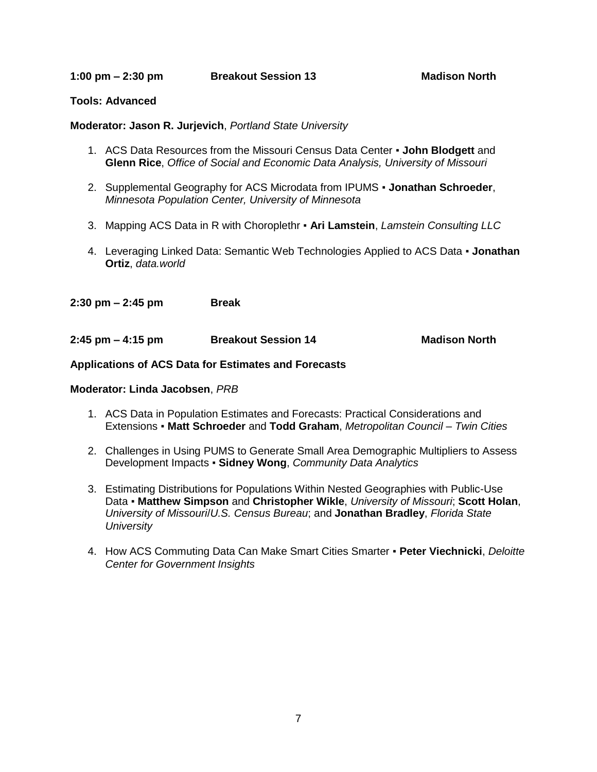**1:00 pm – 2:30 pm Breakout Session 13 Madison North**

## **Tools: Advanced**

## **Moderator: Jason R. Jurjevich**, *Portland State University*

- 1. ACS Data Resources from the Missouri Census Data Center **John Blodgett** and **Glenn Rice**, *Office of Social and Economic Data Analysis, University of Missouri*
- 2. Supplemental Geography for ACS Microdata from IPUMS **Jonathan Schroeder**, *Minnesota Population Center, University of Minnesota*
- 3. Mapping ACS Data in R with Choroplethr **Ari Lamstein**, *Lamstein Consulting LLC*
- 4. Leveraging Linked Data: Semantic Web Technologies Applied to ACS Data **Jonathan Ortiz**, *data.world*

**2:30 pm – 2:45 pm Break**

**2:45 pm – 4:15 pm Breakout Session 14 Madison North**

## **Applications of ACS Data for Estimates and Forecasts**

**Moderator: Linda Jacobsen**, *PRB* 

- 1. ACS Data in Population Estimates and Forecasts: Practical Considerations and Extensions ▪ **Matt Schroeder** and **Todd Graham**, *Metropolitan Council – Twin Cities*
- 2. Challenges in Using PUMS to Generate Small Area Demographic Multipliers to Assess Development Impacts ▪ **Sidney Wong**, *Community Data Analytics*
- 3. Estimating Distributions for Populations Within Nested Geographies with Public-Use Data ▪ **Matthew Simpson** and **Christopher Wikle**, *University of Missouri*; **Scott Holan**, *University of Missouri*/*U.S. Census Bureau*; and **Jonathan Bradley**, *Florida State University*
- 4. How ACS Commuting Data Can Make Smart Cities Smarter **Peter Viechnicki**, *Deloitte Center for Government Insights*